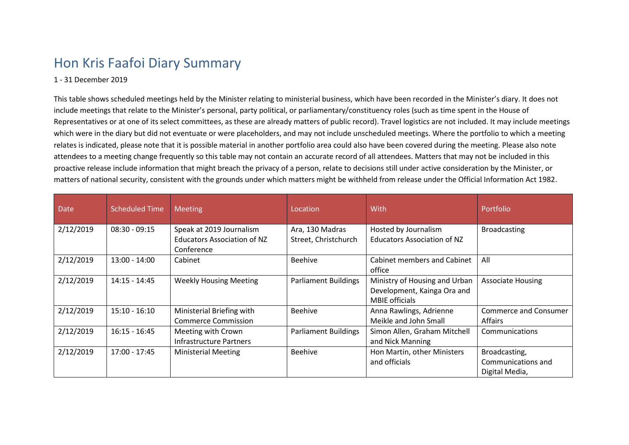## Hon Kris Faafoi Diary Summary

## 1 - 31 December 2019

This table shows scheduled meetings held by the Minister relating to ministerial business, which have been recorded in the Minister's diary. It does not include meetings that relate to the Minister's personal, party political, or parliamentary/constituency roles (such as time spent in the House of Representatives or at one of its select committees, as these are already matters of public record). Travel logistics are not included. It may include meetings which were in the diary but did not eventuate or were placeholders, and may not include unscheduled meetings. Where the portfolio to which a meeting relates is indicated, please note that it is possible material in another portfolio area could also have been covered during the meeting. Please also note attendees to a meeting change frequently so this table may not contain an accurate record of all attendees. Matters that may not be included in this proactive release include information that might breach the privacy of a person, relate to decisions still under active consideration by the Minister, or matters of national security, consistent with the grounds under which matters might be withheld from release under the Official Information Act 1982.

| <b>Date</b> | <b>Scheduled Time</b> | <b>Meeting</b>                                                               | Location                                | With                                                                                  | Portfolio                                             |
|-------------|-----------------------|------------------------------------------------------------------------------|-----------------------------------------|---------------------------------------------------------------------------------------|-------------------------------------------------------|
| 2/12/2019   | $08:30 - 09:15$       | Speak at 2019 Journalism<br><b>Educators Association of NZ</b><br>Conference | Ara, 130 Madras<br>Street, Christchurch | Hosted by Journalism<br><b>Educators Association of NZ</b>                            | <b>Broadcasting</b>                                   |
| 2/12/2019   | $13:00 - 14:00$       | Cabinet                                                                      | <b>Beehive</b>                          | Cabinet members and Cabinet<br>office                                                 | All                                                   |
| 2/12/2019   | 14:15 - 14:45         | <b>Weekly Housing Meeting</b>                                                | <b>Parliament Buildings</b>             | Ministry of Housing and Urban<br>Development, Kainga Ora and<br><b>MBIE</b> officials | <b>Associate Housing</b>                              |
| 2/12/2019   | $15:10 - 16:10$       | Ministerial Briefing with<br><b>Commerce Commission</b>                      | <b>Beehive</b>                          | Anna Rawlings, Adrienne<br>Meikle and John Small                                      | Commerce and Consumer<br><b>Affairs</b>               |
| 2/12/2019   | $16:15 - 16:45$       | Meeting with Crown<br>Infrastructure Partners                                | <b>Parliament Buildings</b>             | Simon Allen, Graham Mitchell<br>and Nick Manning                                      | Communications                                        |
| 2/12/2019   | 17:00 - 17:45         | <b>Ministerial Meeting</b>                                                   | <b>Beehive</b>                          | Hon Martin, other Ministers<br>and officials                                          | Broadcasting,<br>Communications and<br>Digital Media, |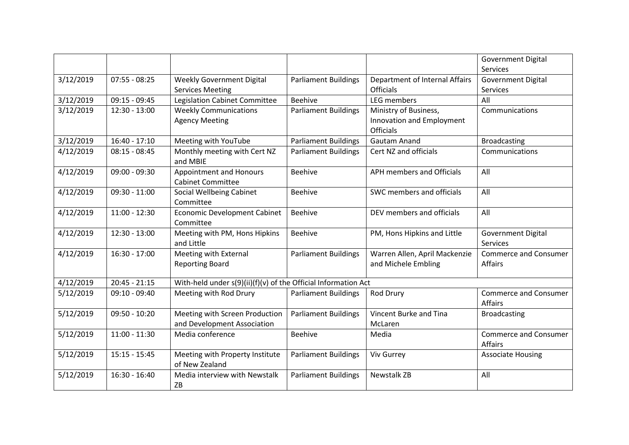|           |                 |                                                                |                             |                                                                        | <b>Government Digital</b><br>Services          |  |  |
|-----------|-----------------|----------------------------------------------------------------|-----------------------------|------------------------------------------------------------------------|------------------------------------------------|--|--|
| 3/12/2019 | $07:55 - 08:25$ | <b>Weekly Government Digital</b><br><b>Services Meeting</b>    | <b>Parliament Buildings</b> | Department of Internal Affairs<br><b>Officials</b>                     | <b>Government Digital</b><br><b>Services</b>   |  |  |
| 3/12/2019 | $09:15 - 09:45$ | Legislation Cabinet Committee                                  | <b>Beehive</b>              | <b>LEG</b> members                                                     | All                                            |  |  |
| 3/12/2019 | $12:30 - 13:00$ | <b>Weekly Communications</b><br><b>Agency Meeting</b>          | <b>Parliament Buildings</b> | Ministry of Business,<br>Innovation and Employment<br><b>Officials</b> | Communications                                 |  |  |
| 3/12/2019 | $16:40 - 17:10$ | Meeting with YouTube                                           | <b>Parliament Buildings</b> | <b>Gautam Anand</b>                                                    | <b>Broadcasting</b>                            |  |  |
| 4/12/2019 | $08:15 - 08:45$ | Monthly meeting with Cert NZ<br>and MBIE                       | <b>Parliament Buildings</b> | Cert NZ and officials                                                  | Communications                                 |  |  |
| 4/12/2019 | $09:00 - 09:30$ | Appointment and Honours<br><b>Cabinet Committee</b>            | <b>Beehive</b>              | APH members and Officials                                              | All                                            |  |  |
| 4/12/2019 | $09:30 - 11:00$ | Social Wellbeing Cabinet<br>Committee                          | <b>Beehive</b>              | SWC members and officials                                              | All                                            |  |  |
| 4/12/2019 | $11:00 - 12:30$ | <b>Economic Development Cabinet</b><br>Committee               | <b>Beehive</b>              | DEV members and officials                                              | All                                            |  |  |
| 4/12/2019 | $12:30 - 13:00$ | Meeting with PM, Hons Hipkins<br>and Little                    | <b>Beehive</b>              | PM, Hons Hipkins and Little                                            | <b>Government Digital</b><br>Services          |  |  |
| 4/12/2019 | $16:30 - 17:00$ | Meeting with External<br><b>Reporting Board</b>                | <b>Parliament Buildings</b> | Warren Allen, April Mackenzie<br>and Michele Embling                   | <b>Commerce and Consumer</b><br>Affairs        |  |  |
| 4/12/2019 | $20:45 - 21:15$ | With-held under s(9)(ii)(f)(v) of the Official Information Act |                             |                                                                        |                                                |  |  |
| 5/12/2019 | $09:10 - 09:40$ | Meeting with Rod Drury                                         | <b>Parliament Buildings</b> | Rod Drury                                                              | <b>Commerce and Consumer</b><br><b>Affairs</b> |  |  |
| 5/12/2019 | $09:50 - 10:20$ | Meeting with Screen Production<br>and Development Association  | <b>Parliament Buildings</b> | Vincent Burke and Tina<br>McLaren                                      | <b>Broadcasting</b>                            |  |  |
| 5/12/2019 | $11:00 - 11:30$ | Media conference                                               | <b>Beehive</b>              | Media                                                                  | <b>Commerce and Consumer</b><br><b>Affairs</b> |  |  |
| 5/12/2019 | $15:15 - 15:45$ | Meeting with Property Institute<br>of New Zealand              | <b>Parliament Buildings</b> | <b>Viv Gurrey</b>                                                      | <b>Associate Housing</b>                       |  |  |
| 5/12/2019 | $16:30 - 16:40$ | Media interview with Newstalk<br>ZB                            | <b>Parliament Buildings</b> | <b>Newstalk ZB</b>                                                     | All                                            |  |  |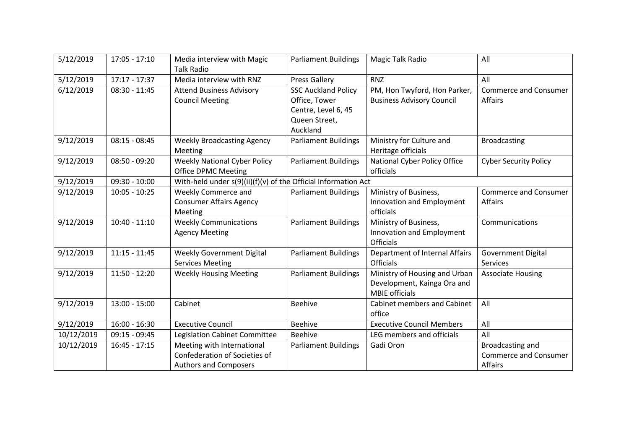| 5/12/2019  | $17:05 - 17:10$ | Media interview with Magic<br><b>Talk Radio</b>                | <b>Parliament Buildings</b> | Magic Talk Radio                    | All                          |
|------------|-----------------|----------------------------------------------------------------|-----------------------------|-------------------------------------|------------------------------|
| 5/12/2019  | $17:17 - 17:37$ | Media interview with RNZ                                       | <b>Press Gallery</b>        | <b>RNZ</b>                          | All                          |
| 6/12/2019  | $08:30 - 11:45$ | <b>Attend Business Advisory</b>                                | <b>SSC Auckland Policy</b>  | PM, Hon Twyford, Hon Parker,        | <b>Commerce and Consumer</b> |
|            |                 | <b>Council Meeting</b>                                         | Office, Tower               | <b>Business Advisory Council</b>    | Affairs                      |
|            |                 |                                                                | Centre, Level 6, 45         |                                     |                              |
|            |                 |                                                                | Queen Street,               |                                     |                              |
|            |                 |                                                                | Auckland                    |                                     |                              |
| 9/12/2019  | $08:15 - 08:45$ | <b>Weekly Broadcasting Agency</b>                              | <b>Parliament Buildings</b> | Ministry for Culture and            | <b>Broadcasting</b>          |
|            |                 | Meeting                                                        |                             | Heritage officials                  |                              |
| 9/12/2019  | $08:50 - 09:20$ | <b>Weekly National Cyber Policy</b>                            | <b>Parliament Buildings</b> | <b>National Cyber Policy Office</b> | <b>Cyber Security Policy</b> |
|            |                 | <b>Office DPMC Meeting</b>                                     |                             | officials                           |                              |
| 9/12/2019  | $09:30 - 10:00$ | With-held under s(9)(ii)(f)(v) of the Official Information Act |                             |                                     |                              |
| 9/12/2019  | $10:05 - 10:25$ | Weekly Commerce and                                            | <b>Parliament Buildings</b> | Ministry of Business,               | <b>Commerce and Consumer</b> |
|            |                 | <b>Consumer Affairs Agency</b>                                 |                             | Innovation and Employment           | <b>Affairs</b>               |
|            |                 | Meeting                                                        |                             | officials                           |                              |
| 9/12/2019  | $10:40 - 11:10$ | <b>Weekly Communications</b>                                   | <b>Parliament Buildings</b> | Ministry of Business,               | Communications               |
|            |                 | <b>Agency Meeting</b>                                          |                             | Innovation and Employment           |                              |
|            |                 |                                                                |                             | <b>Officials</b>                    |                              |
| 9/12/2019  | $11:15 - 11:45$ | <b>Weekly Government Digital</b>                               | <b>Parliament Buildings</b> | Department of Internal Affairs      | <b>Government Digital</b>    |
|            |                 | <b>Services Meeting</b>                                        |                             | <b>Officials</b>                    | <b>Services</b>              |
| 9/12/2019  | $11:50 - 12:20$ | <b>Weekly Housing Meeting</b>                                  | <b>Parliament Buildings</b> | Ministry of Housing and Urban       | <b>Associate Housing</b>     |
|            |                 |                                                                |                             | Development, Kainga Ora and         |                              |
|            |                 |                                                                |                             | <b>MBIE</b> officials               |                              |
| 9/12/2019  | $13:00 - 15:00$ | Cabinet                                                        | <b>Beehive</b>              | <b>Cabinet members and Cabinet</b>  | All                          |
|            |                 |                                                                |                             | office                              |                              |
| 9/12/2019  | $16:00 - 16:30$ | <b>Executive Council</b>                                       | <b>Beehive</b>              | <b>Executive Council Members</b>    | All                          |
| 10/12/2019 | $09:15 - 09:45$ | Legislation Cabinet Committee                                  | <b>Beehive</b>              | LEG members and officials           | All                          |
| 10/12/2019 | $16:45 - 17:15$ | Meeting with International                                     | <b>Parliament Buildings</b> | Gadi Oron                           | Broadcasting and             |
|            |                 | Confederation of Societies of                                  |                             |                                     | <b>Commerce and Consumer</b> |
|            |                 | <b>Authors and Composers</b>                                   |                             |                                     | Affairs                      |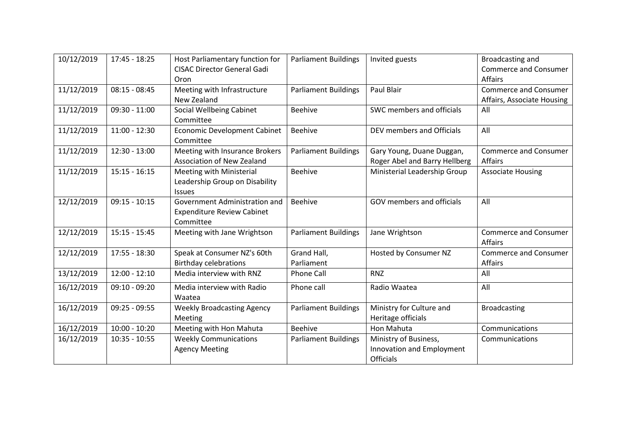| 10/12/2019 | $17:45 - 18:25$ | Host Parliamentary function for<br><b>CISAC Director General Gadi</b>              | <b>Parliament Buildings</b> | Invited guests                                                         | Broadcasting and<br><b>Commerce and Consumer</b>                             |
|------------|-----------------|------------------------------------------------------------------------------------|-----------------------------|------------------------------------------------------------------------|------------------------------------------------------------------------------|
| 11/12/2019 | $08:15 - 08:45$ | Oron<br>Meeting with Infrastructure<br>New Zealand                                 | <b>Parliament Buildings</b> | <b>Paul Blair</b>                                                      | <b>Affairs</b><br><b>Commerce and Consumer</b><br>Affairs, Associate Housing |
| 11/12/2019 | $09:30 - 11:00$ | Social Wellbeing Cabinet<br>Committee                                              | <b>Beehive</b>              | SWC members and officials                                              | All                                                                          |
| 11/12/2019 | $11:00 - 12:30$ | <b>Economic Development Cabinet</b><br>Committee                                   | <b>Beehive</b>              | DEV members and Officials                                              | All                                                                          |
| 11/12/2019 | $12:30 - 13:00$ | Meeting with Insurance Brokers<br><b>Association of New Zealand</b>                | <b>Parliament Buildings</b> | Gary Young, Duane Duggan,<br>Roger Abel and Barry Hellberg             | <b>Commerce and Consumer</b><br><b>Affairs</b>                               |
| 11/12/2019 | $15:15 - 16:15$ | <b>Meeting with Ministerial</b><br>Leadership Group on Disability<br><b>Issues</b> | <b>Beehive</b>              | Ministerial Leadership Group                                           | <b>Associate Housing</b>                                                     |
| 12/12/2019 | $09:15 - 10:15$ | Government Administration and<br><b>Expenditure Review Cabinet</b><br>Committee    | <b>Beehive</b>              | GOV members and officials                                              | All                                                                          |
| 12/12/2019 | $15:15 - 15:45$ | Meeting with Jane Wrightson                                                        | <b>Parliament Buildings</b> | Jane Wrightson                                                         | <b>Commerce and Consumer</b><br><b>Affairs</b>                               |
| 12/12/2019 | $17:55 - 18:30$ | Speak at Consumer NZ's 60th<br><b>Birthday celebrations</b>                        | Grand Hall,<br>Parliament   | Hosted by Consumer NZ                                                  | <b>Commerce and Consumer</b><br><b>Affairs</b>                               |
| 13/12/2019 | $12:00 - 12:10$ | Media interview with RNZ                                                           | <b>Phone Call</b>           | <b>RNZ</b>                                                             | All                                                                          |
| 16/12/2019 | $09:10 - 09:20$ | Media interview with Radio<br>Waatea                                               | Phone call                  | Radio Waatea                                                           | All                                                                          |
| 16/12/2019 | $09:25 - 09:55$ | <b>Weekly Broadcasting Agency</b><br>Meeting                                       | <b>Parliament Buildings</b> | Ministry for Culture and<br>Heritage officials                         | <b>Broadcasting</b>                                                          |
| 16/12/2019 | $10:00 - 10:20$ | Meeting with Hon Mahuta                                                            | <b>Beehive</b>              | Hon Mahuta                                                             | Communications                                                               |
| 16/12/2019 | $10:35 - 10:55$ | <b>Weekly Communications</b><br><b>Agency Meeting</b>                              | <b>Parliament Buildings</b> | Ministry of Business,<br>Innovation and Employment<br><b>Officials</b> | Communications                                                               |